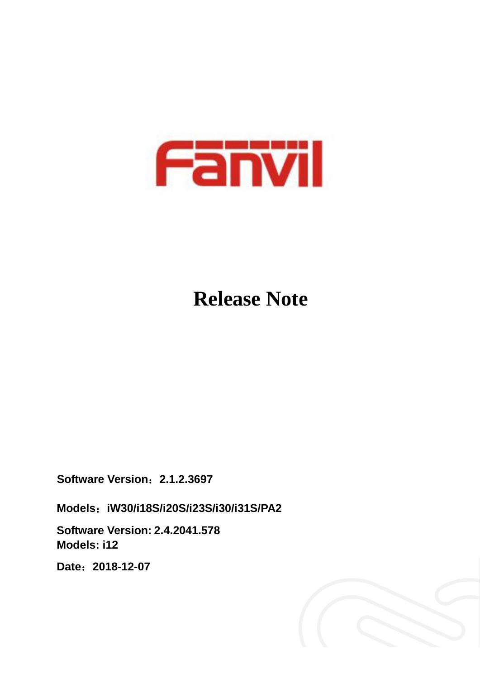

# **Release Note**

**Software Version**:**2.1.2.3697**

**Models**:**iW30/i18S/i20S/i23S/i30/i31S/PA2**

**Software Version: 2.4.2041.578 Models: i12**

**Date**:**2018-12-07**

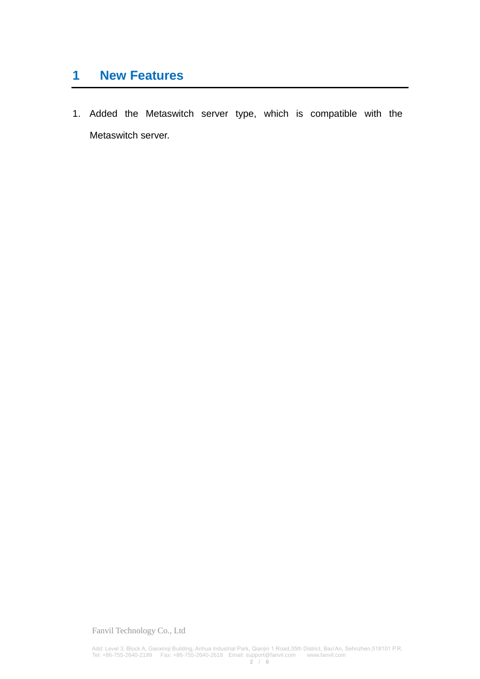### **1 New Features**

1. Added the Metaswitch server type, which is compatible with the Metaswitch server.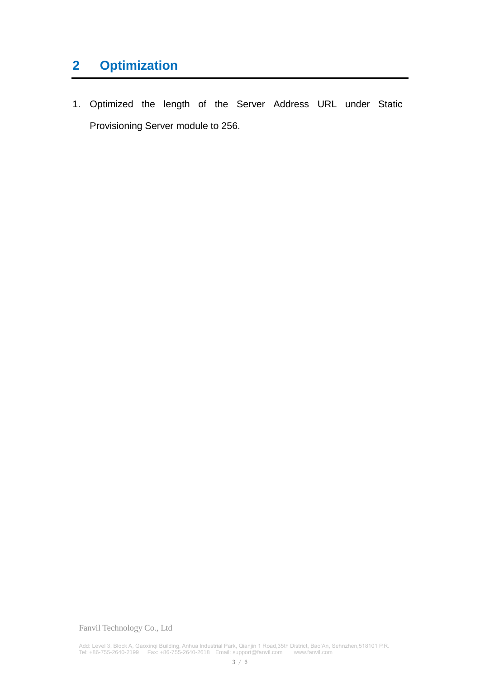# **2 Optimization**

1. Optimized the length of the Server Address URL under Static Provisioning Server module to 256.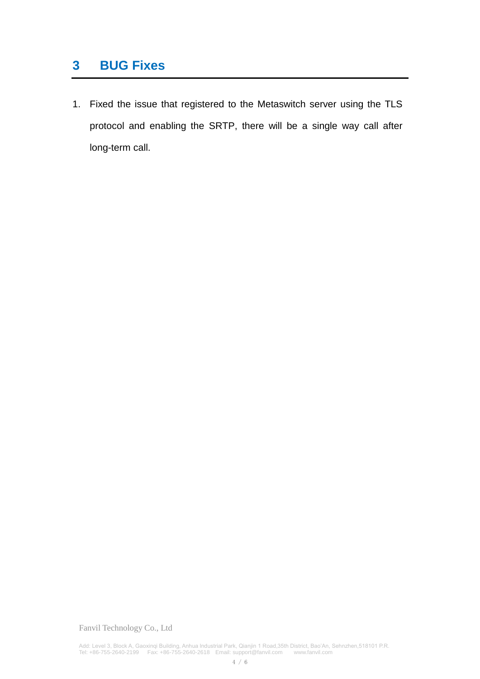### **3 BUG Fixes**

1. Fixed the issue that registered to the Metaswitch server using the TLS protocol and enabling the SRTP, there will be a single way call after long-term call.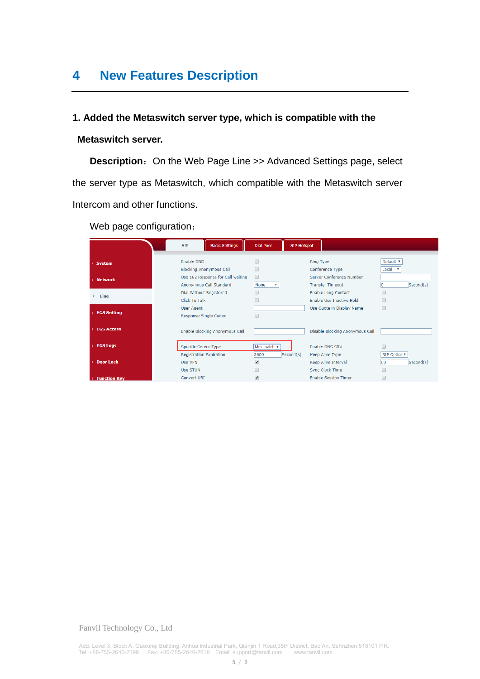## **4 New Features Description**

#### **1. Added the Metaswitch server type, which is compatible with the**

#### **Metaswitch server.**

**Description:** On the Web Page Line >> Advanced Settings page, select the server type as Metaswitch, which compatible with the Metaswitch server Intercom and other functions.

Web page configuration:

|                       | <b>Basic Settings</b><br><b>SIP</b>                          | <b>Dial Peer</b>                                     | <b>SIP Hotspot</b>                                                      |                                 |
|-----------------------|--------------------------------------------------------------|------------------------------------------------------|-------------------------------------------------------------------------|---------------------------------|
| > System              | Enable DND<br><b>Blocking Anonymous Call</b>                 |                                                      | <b>Ring Type</b><br>Conference Type                                     | Default v<br>Local v            |
| > Network             | Use 182 Response for Call waiting<br>Anonymous Call Standard | ∩<br>None<br>v                                       | Server Conference Number<br><b>Transfer Timeout</b>                     | Second(s)                       |
| Line<br>×.            | Dial Without Registered<br>Click To Talk                     |                                                      | <b>Enable Long Contact</b><br><b>Enable Use Inactive Hold</b>           |                                 |
| <b>EGS Setting</b>    | <b>User Agent</b><br>Response Single Codec                   | ∩                                                    | Use Quote in Display Name                                               |                                 |
| <b>EGS Access</b>     | Enable Blocking Anonymous Call                               |                                                      | Disable Blocking Anonymous Call                                         |                                 |
| $\angle$ EGS Logs     | <b>Specific Server Type</b>                                  | Metaswitch $\mathbf{v}$                              | <b>Enable DNS SRV</b>                                                   |                                 |
| <b>Door Lock</b><br>5 | <b>Registration Expiration</b><br>Use VPN<br><b>Use STUN</b> | 3600<br>Second(s)<br>$\overline{\blacktriangledown}$ | <b>Keep Alive Type</b><br>Keep Alive Interval<br><b>Sync Clock Time</b> | SIP Optior ▼<br>60<br>Second(s) |
| > Function Key        | <b>Convert URI</b>                                           | $\overline{\blacktriangledown}$                      | <b>Enable Session Timer</b>                                             |                                 |